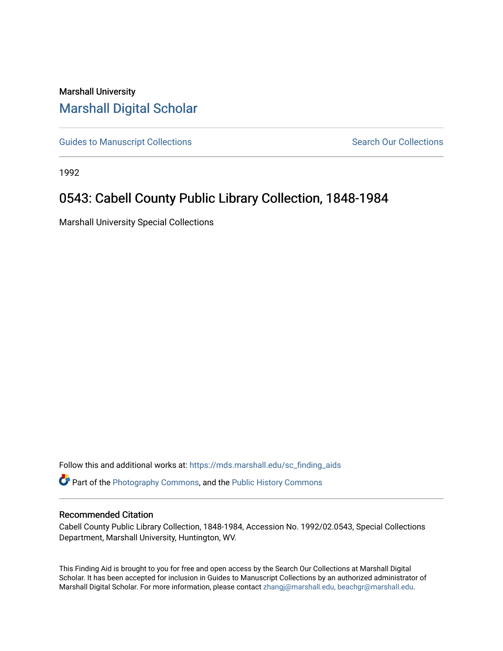## Marshall University [Marshall Digital Scholar](https://mds.marshall.edu/)

[Guides to Manuscript Collections](https://mds.marshall.edu/sc_finding_aids) **Search Our Collections** Search Our Collections

1992

# 0543: Cabell County Public Library Collection, 1848-1984

Marshall University Special Collections

Follow this and additional works at: [https://mds.marshall.edu/sc\\_finding\\_aids](https://mds.marshall.edu/sc_finding_aids?utm_source=mds.marshall.edu%2Fsc_finding_aids%2F287&utm_medium=PDF&utm_campaign=PDFCoverPages) 

Part of the [Photography Commons](http://network.bepress.com/hgg/discipline/1142?utm_source=mds.marshall.edu%2Fsc_finding_aids%2F287&utm_medium=PDF&utm_campaign=PDFCoverPages), and the [Public History Commons](http://network.bepress.com/hgg/discipline/1292?utm_source=mds.marshall.edu%2Fsc_finding_aids%2F287&utm_medium=PDF&utm_campaign=PDFCoverPages) 

#### Recommended Citation

Cabell County Public Library Collection, 1848-1984, Accession No. 1992/02.0543, Special Collections Department, Marshall University, Huntington, WV.

This Finding Aid is brought to you for free and open access by the Search Our Collections at Marshall Digital Scholar. It has been accepted for inclusion in Guides to Manuscript Collections by an authorized administrator of Marshall Digital Scholar. For more information, please contact [zhangj@marshall.edu, beachgr@marshall.edu](mailto:zhangj@marshall.edu,%20beachgr@marshall.edu).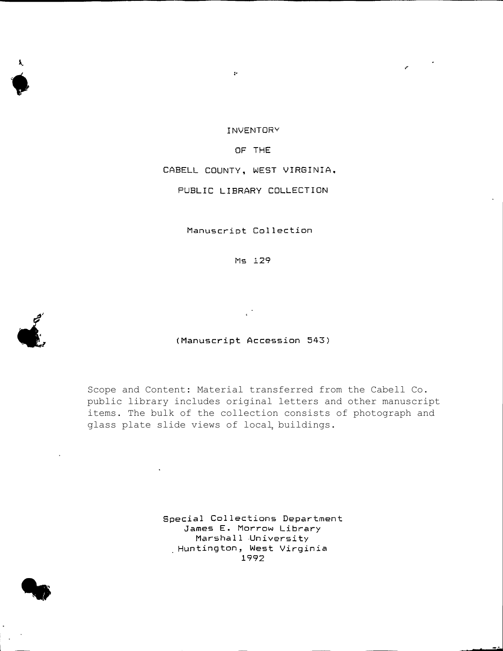**INVEMTQRV**

 $\ddot{\psi}$ 

#### **OF THE**

**CABELL COUNTY, WEST VIRGINIA,**

**PUBLIC LIBRARY COLLECTION**

**Manuscript Collection**

**Ms 129**

**(Manuscript Accession 543)**

Scope and Content: Material transferred from the Cabell Co. public library includes original letters and other manuscript items. The bulk of the collection consists of photograph and glass plate slide views of local, buildings.

> **Special Collections Department James E. Morrow Library Marshall University Huntington, West Virginia 1992**



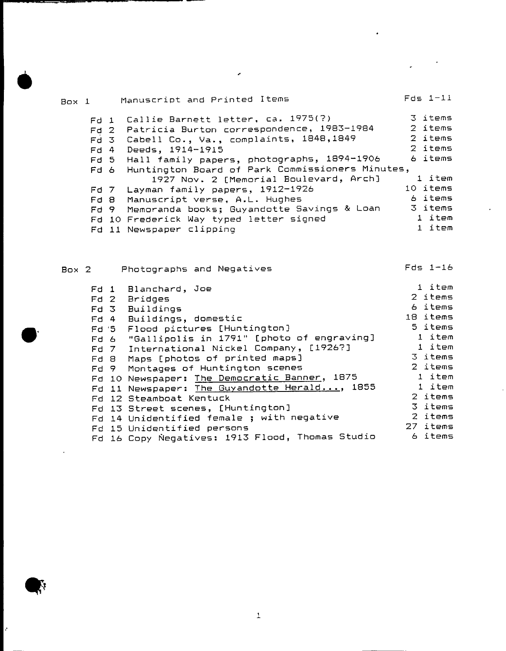| Box 1 |        | Manuscript and Printed Items                    | $Fds$ $1-11$ |
|-------|--------|-------------------------------------------------|--------------|
|       |        | Fd 1 Callie Barnett letter, ca. 1975(?)         | 3 items      |
|       |        | Fd 2 Patricia Burton correspondence, 1983-1984  | 2 items      |
|       |        | Fd 3 Cabell Co., Va., complaints, 1848, 1849    | 2 items      |
|       | $Fd$ 4 | Deeds, 1914-1915                                | 2 items      |
|       |        | Fd 5 Hall family papers, photographs, 1894-1906 | 6 items      |
|       | Fd 6   | Huntington Board of Park Commissioners Minutes, |              |
|       |        | 1927 Nov. 2 [Memorial Boulevard, Arch]          | 1 item       |
|       | Fd 7   | Layman family papers, 1912-1926                 | 10 items     |
|       |        | Fd 8 Manuscript verse, A.L. Hughes              | 6 items      |
|       | Fd 9   | Memoranda books; Guyandotte Savings & Loan      | 3 items      |
|       |        | Fd 10 Frederick Way typed letter signed         | 1 item       |
|       |        | Fd 11 Newspaper clipping                        | 1 item       |
|       |        |                                                 |              |

 $\mathcal{L}(\mathcal{L})$  and  $\mathcal{L}(\mathcal{L})$  and  $\mathcal{L}(\mathcal{L})$ 

 $\mathcal{L}(\mathcal{L})$ 

 $\label{eq:2.1} \frac{1}{\sqrt{2}}\left(\frac{1}{\sqrt{2}}\right)^{2} \left(\frac{1}{\sqrt{2}}\right)^{2} \left(\frac{1}{\sqrt{2}}\right)^{2} \left(\frac{1}{\sqrt{2}}\right)^{2} \left(\frac{1}{\sqrt{2}}\right)^{2} \left(\frac{1}{\sqrt{2}}\right)^{2} \left(\frac{1}{\sqrt{2}}\right)^{2} \left(\frac{1}{\sqrt{2}}\right)^{2} \left(\frac{1}{\sqrt{2}}\right)^{2} \left(\frac{1}{\sqrt{2}}\right)^{2} \left(\frac{1}{\sqrt{2}}\right)^{2} \left(\$ 

 $\star$ 

| Box 2 | Photographs and Negatives                                                                                                                                                                                                                                                                                                                                                                                                                                                                                       | $Fds$ 1-16                                                                                                                                         |
|-------|-----------------------------------------------------------------------------------------------------------------------------------------------------------------------------------------------------------------------------------------------------------------------------------------------------------------------------------------------------------------------------------------------------------------------------------------------------------------------------------------------------------------|----------------------------------------------------------------------------------------------------------------------------------------------------|
|       | Fd 1 Blanchard, Joe<br>Fd 2 Bridges<br>Fd 3 Buildings<br>Fd 4 Buildings, domestic<br>Fd '5 Flood pictures [Huntington]<br>Fd 6 "Gallipolis in 1791" [photo of engraving]<br>Fd 7 International Nickel Company, [1926?]<br>Fd 8 Maps [photos of printed maps]<br>Fd 9 Montages of Huntington scenes<br>Fd 10 Newspaper: The Democratic Banner, 1875<br>Fd 11 Newspaper: The Guyandotte Herald, 1855<br>Fd 12 Steamboat Kentuck<br>Fd 13 Street scenes, [Huntington]<br>Fd 14 Unidentified female ; with negative | 1 item<br>2 items<br>6 items<br>18 items<br>5 items<br>1 item<br>1 item<br>3 items<br>2 items<br>1 item<br>1 item<br>2 items<br>3 items<br>2 items |
|       | Fd 15 Unidentified persons<br>Fd 16 Copy Negatives: 1913 Flood, Thomas Studio                                                                                                                                                                                                                                                                                                                                                                                                                                   | 27 items<br>6 items                                                                                                                                |

 $\mathcal{L}^{\text{max}}_{\text{max}}$  .

 $\bar{1}$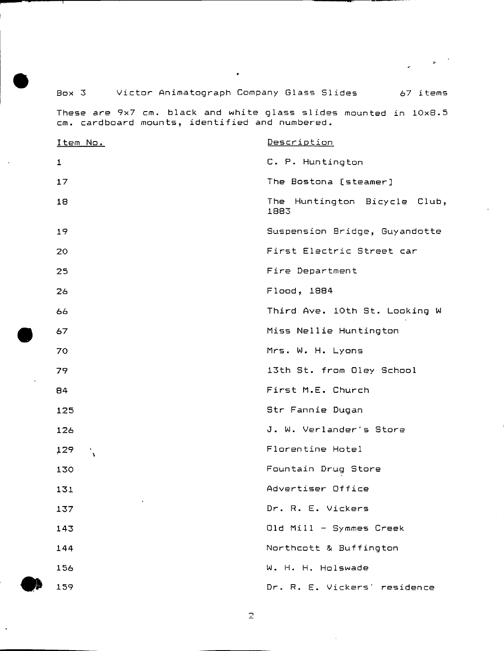### **Box 3 Victor Animatograph Company Glass Slides 67 items**

 $\bullet$ 

 $\sim$ 

**These are 9x7 cm. black and white qlass slides mounted in 10x8.5 cm. cardboard mounts, identified and numbered.**

| Item No.         | Description                             |
|------------------|-----------------------------------------|
| $\mathbf{1}$     | C. P. Huntington                        |
| 17               | The Bostona [steamer]                   |
| 18               | Huntington Bicycle Club,<br>The<br>1883 |
| 19               | Suspension Bridge, Guyandotte           |
| 20               | First Electric Street car               |
| 25               | Fire Department                         |
| 26               | Flood, 1884                             |
| 66               | Third Ave. 10th St. Looking W           |
| 67               | Miss Nellie Huntington                  |
| 70               | Mrs. W. H. Lyons                        |
| 79               | 13th St. from Oley School               |
| 84               | First M.E. Church                       |
| 125              | Str Fannie Dugan                        |
| 126              | J. W. Verlander's Store                 |
| 129<br>ैं        | Florentine Hotel                        |
| 130              | Fountain Drug Store                     |
| 131              | Advertiser Office                       |
| $\bullet$<br>137 | Dr. R. E. Vickers                       |
| 143              | Old Mill - Symmes Creek                 |
| 144              | Northcott & Buffington                  |
| 156              | W. H. H. Holswade                       |
| 159              | Dr. R. E. Vickers' residence            |

 $\mathbf{Z}$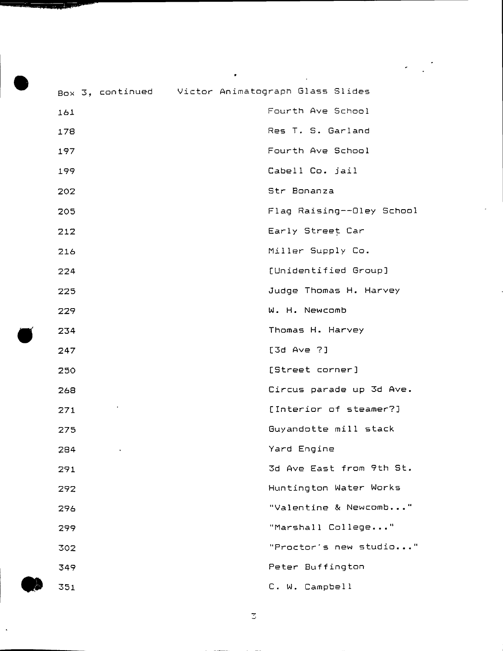| Box 3, continued Victor Animatograph Glass Slides |                           |
|---------------------------------------------------|---------------------------|
| 161                                               | Fourth Ave School         |
| 178                                               | Res T. S. Garland         |
| 197                                               | Fourth Ave School         |
| 199                                               | Cabell Co. jail           |
| 202                                               | Str Bonanza               |
| 205                                               | Flag Raising--Oley School |
| 212                                               | Early Street Car          |
| 216                                               | Miller Supply Co.         |
| 224                                               | [Unidentified Group]      |
| 225                                               | Judge Thomas H. Harvey    |
| 229                                               | W. H. Newcomb             |
| 234                                               | Thomas H. Harvey          |
| 247                                               | $[3d \; Ave \; ?]$        |
| 250                                               | [Street corner]           |
| 268                                               | Circus parade up 3d Ave.  |
| 271                                               | [Interior of steamer?]    |
| 275                                               | Guyandotte mill stack     |
| 284                                               | Yard Engine               |
| 291                                               | 3d Ave East from 9th St.  |
| 292                                               | Huntington Water Works    |
| 296                                               | "Valentine & Newcomb"     |
| 299                                               | "Marshall College"        |
| 302                                               | "Proctor's new studio"    |
| 349                                               | Peter Buffington          |
| 351                                               | C. W. Campbell            |

 $\bullet$ 

 $\mathbb{C}$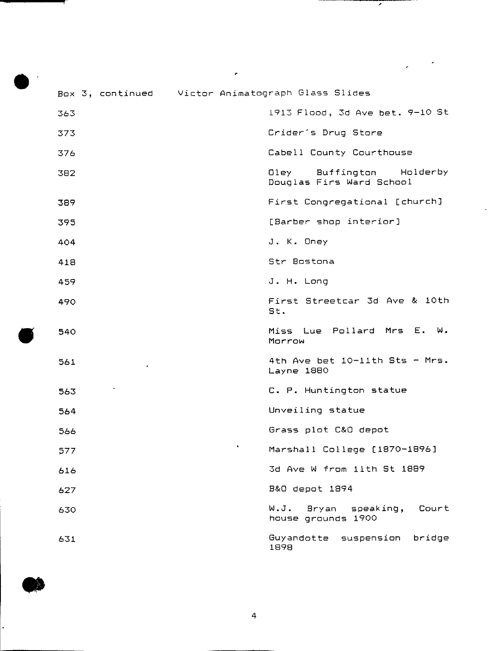|     | Box 3, continued Victor Animatograph Glass Slides          |
|-----|------------------------------------------------------------|
| 363 | 1913 Flood, 3d Ave bet. 9-10 St                            |
| 373 | Crider's Drug Store                                        |
| 376 | Cabell County Courthouse                                   |
| 382 | Buffington<br>Holderby<br>Oley<br>Douglas Firs Ward School |
| 389 | First Congregational [church]                              |
| 395 | [Barber shop interior]                                     |
| 404 | J. K. Oney                                                 |
| 418 | Str Bostona                                                |
| 459 | J. H. Long                                                 |
| 490 | First Streetcar 3d Ave & 10th<br>St.                       |
| 540 | Miss Lue Pollard Mrs E. W.<br>Morrow                       |
| 561 | 4th Ave bet 10-11th Sts - Mrs.<br>Layne 1880               |
| 563 | C. P. Huntington statue                                    |
| 564 | Unveiling statue                                           |
| 566 | Grass plot C&O depot                                       |
| 577 | Marshall College [1870-1896]                               |
| 616 | 3d Ave W from 11th St 1889                                 |
| 627 | B&O depot 1894                                             |
| 630 | W.J.<br>Court<br>Bryan<br>speaking,<br>house grounds 1900  |
| 631 | Guyandotte<br>suspension<br>bridge<br>1898                 |

 $\epsilon$ 

7

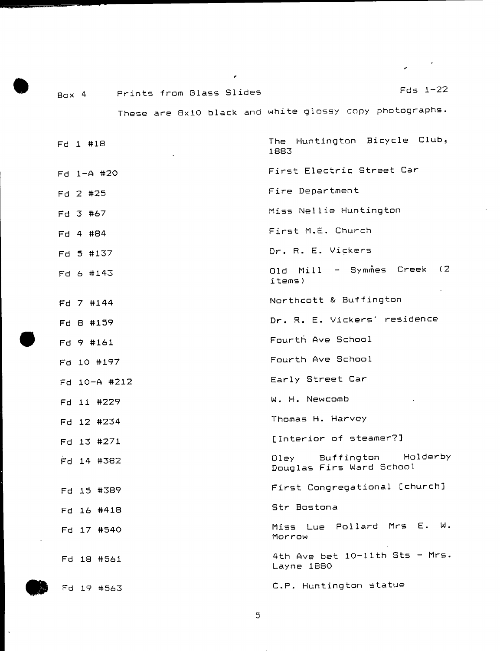**Box 4 Prints from Glass Slides Fds 1-22**

**These are 8x10 black and white glossy copy photographs.**

**Fd 1 #1S Fd 1-A #20 Fd 2 #25 Fd 3 #67 Fd 4 #84 Fd 5 #137 Fd 6 #143 Fd 7 #144 Fd a #159 Fd 9 #161 Fd 10 #197 Fd 10-A #212 Fd 11 #229 Fd 12 #234 Fd 13 #271 Fd 14 #382 Fd 15 #389 Fd 16 #418 Fd 17 #540 Fd 18 #561 The Huntington Bicycle Club, 1883 First Electric Street Car Fire Department Miss Nellie Huntington First M.E. Church Dr. R. E. Vickers** Old Mill - Symmes Creek (2 **items) Northcott & Buffington Dr. R. E. Vickers' residence Fourth Ave School Fourth Ave School Early Street Car W. H. Newcomb Thomas H. Harvey [Interior of steamer?] Dley Buffington Holderby Douglas Firs Ward School First Congregational [church] Str Bostona Miss Lue Pollard Mrs E. W. Morrow 4th Ave bet 10-llth Sts - Mrs. Layne 1880 Fd 19 #563 C.P. Huntington statue**

**5**